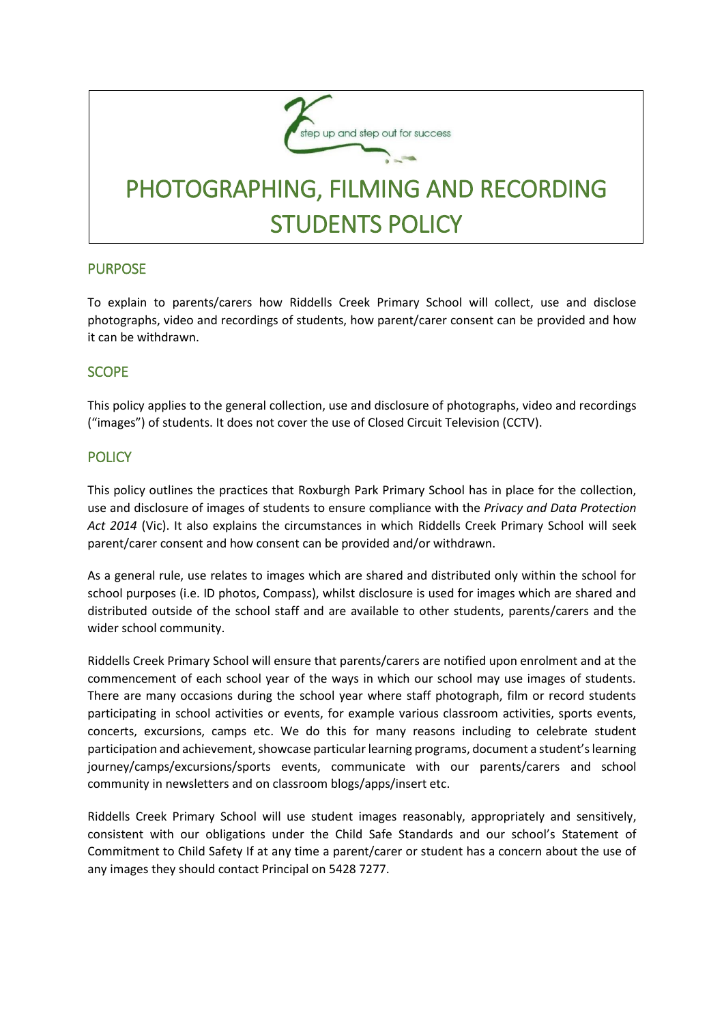

## PURPOSE

To explain to parents/carers how Riddells Creek Primary School will collect, use and disclose photographs, video and recordings of students, how parent/carer consent can be provided and how it can be withdrawn.

### SCOPE

This policy applies to the general collection, use and disclosure of photographs, video and recordings ("images") of students. It does not cover the use of Closed Circuit Television (CCTV).

### **POLICY**

This policy outlines the practices that Roxburgh Park Primary School has in place for the collection, use and disclosure of images of students to ensure compliance with the *Privacy and Data Protection Act 2014* (Vic). It also explains the circumstances in which Riddells Creek Primary School will seek parent/carer consent and how consent can be provided and/or withdrawn.

As a general rule, use relates to images which are shared and distributed only within the school for school purposes (i.e. ID photos, Compass), whilst disclosure is used for images which are shared and distributed outside of the school staff and are available to other students, parents/carers and the wider school community.

Riddells Creek Primary School will ensure that parents/carers are notified upon enrolment and at the commencement of each school year of the ways in which our school may use images of students. There are many occasions during the school year where staff photograph, film or record students participating in school activities or events, for example various classroom activities, sports events, concerts, excursions, camps etc. We do this for many reasons including to celebrate student participation and achievement, showcase particular learning programs, document a student's learning journey/camps/excursions/sports events, communicate with our parents/carers and school community in newsletters and on classroom blogs/apps/insert etc.

Riddells Creek Primary School will use student images reasonably, appropriately and sensitively, consistent with our obligations under the Child Safe Standards and our school's Statement of Commitment to Child Safety If at any time a parent/carer or student has a concern about the use of any images they should contact Principal on 5428 7277.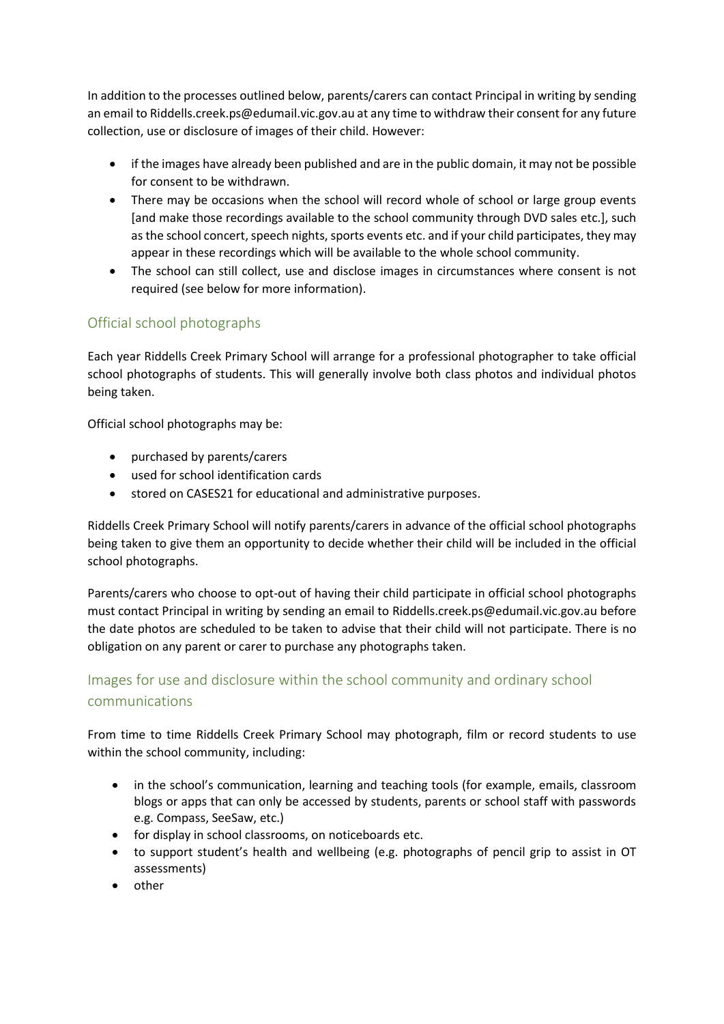In addition to the processes outlined below, parents/carers can contact Principal in writing by sending an email to Riddells.creek.ps@edumail.vic.gov.au at any time to withdraw their consent for any future collection, use or disclosure of images of their child. However:

- if the images have already been published and are in the public domain, it may not be possible for consent to be withdrawn.
- There may be occasions when the school will record whole of school or large group events [and make those recordings available to the school community through DVD sales etc.], such as the school concert, speech nights, sports events etc. and if your child participates, they may appear in these recordings which will be available to the whole school community.
- The school can still collect, use and disclose images in circumstances where consent is not required (see below for more information).

## Official school photographs

Each year Riddells Creek Primary School will arrange for a professional photographer to take official school photographs of students. This will generally involve both class photos and individual photos being taken.

Official school photographs may be:

- purchased by parents/carers
- used for school identification cards
- stored on CASES21 for educational and administrative purposes.

Riddells Creek Primary School will notify parents/carers in advance of the official school photographs being taken to give them an opportunity to decide whether their child will be included in the official school photographs.

Parents/carers who choose to opt-out of having their child participate in official school photographs must contact Principal in writing by sending an email to Riddells.creek.ps@edumail.vic.gov.au before the date photos are scheduled to be taken to advise that their child will not participate. There is no obligation on any parent or carer to purchase any photographs taken.

# Images for use and disclosure within the school community and ordinary school communications

From time to time Riddells Creek Primary School may photograph, film or record students to use within the school community, including:

- in the school's communication, learning and teaching tools (for example, emails, classroom blogs or apps that can only be accessed by students, parents or school staff with passwords e.g. Compass, SeeSaw, etc.)
- for display in school classrooms, on noticeboards etc.
- to support student's health and wellbeing (e.g. photographs of pencil grip to assist in OT assessments)
- other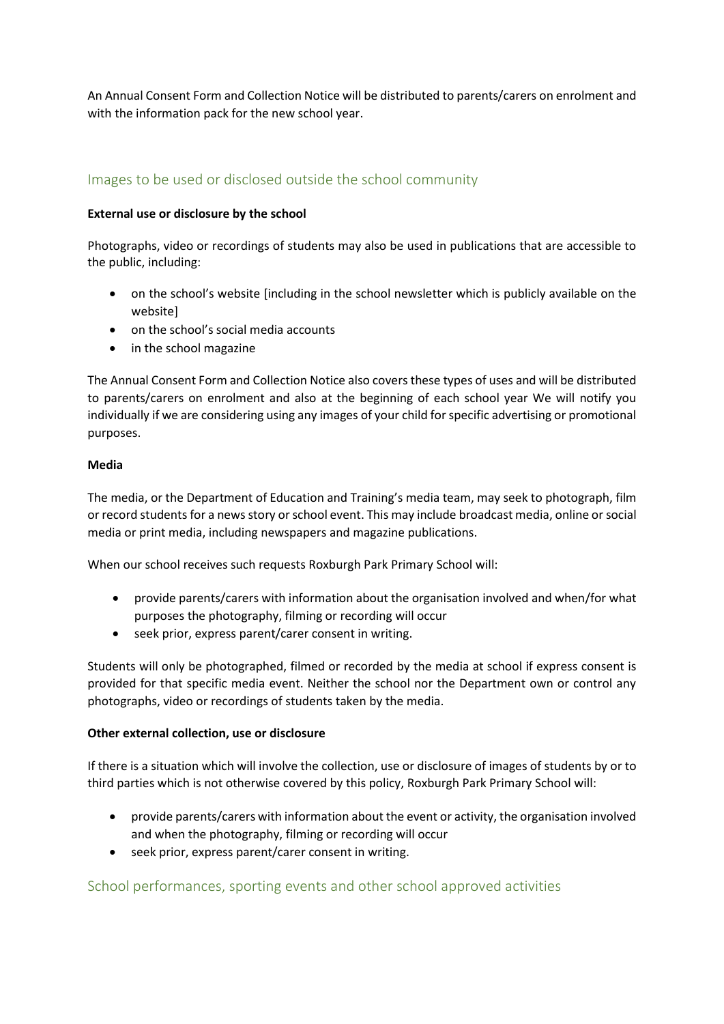An Annual Consent Form and Collection Notice will be distributed to parents/carers on enrolment and with the information pack for the new school year.

## Images to be used or disclosed outside the school community

#### **External use or disclosure by the school**

Photographs, video or recordings of students may also be used in publications that are accessible to the public, including:

- on the school's website [including in the school newsletter which is publicly available on the website]
- on the school's social media accounts
- in the school magazine

The Annual Consent Form and Collection Notice also covers these types of uses and will be distributed to parents/carers on enrolment and also at the beginning of each school year We will notify you individually if we are considering using any images of your child for specific advertising or promotional purposes.

#### **Media**

The media, or the Department of Education and Training's media team, may seek to photograph, film or record students for a news story or school event. This may include broadcast media, online or social media or print media, including newspapers and magazine publications.

When our school receives such requests Roxburgh Park Primary School will:

- provide parents/carers with information about the organisation involved and when/for what purposes the photography, filming or recording will occur
- seek prior, express parent/carer consent in writing.

Students will only be photographed, filmed or recorded by the media at school if express consent is provided for that specific media event. Neither the school nor the Department own or control any photographs, video or recordings of students taken by the media.

#### **Other external collection, use or disclosure**

If there is a situation which will involve the collection, use or disclosure of images of students by or to third parties which is not otherwise covered by this policy, Roxburgh Park Primary School will:

- provide parents/carers with information about the event or activity, the organisation involved and when the photography, filming or recording will occur
- seek prior, express parent/carer consent in writing.

## School performances, sporting events and other school approved activities